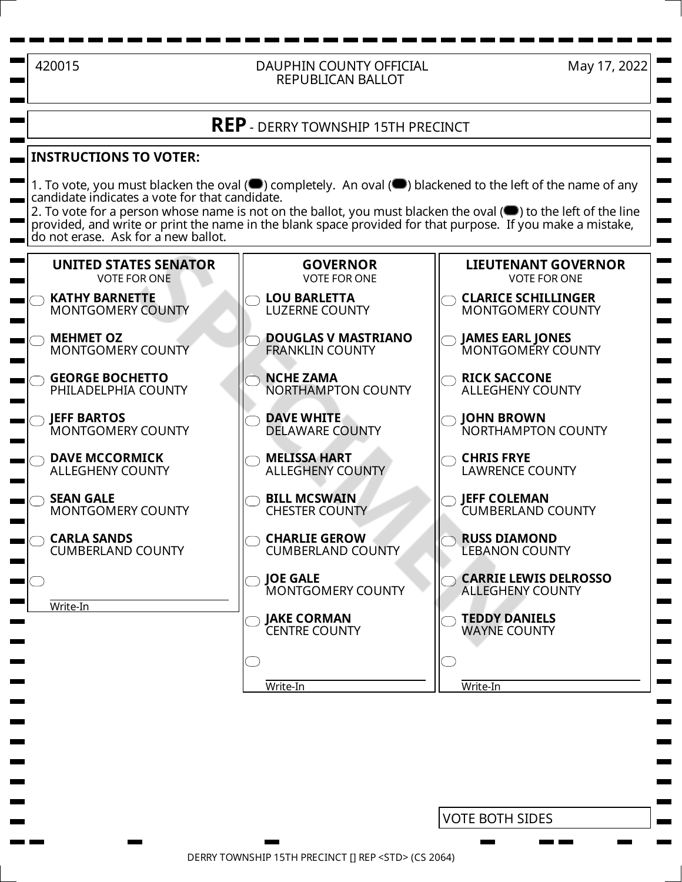## 420015 DAUPHIN COUNTY OFFICIAL REPUBLICAN BALLOT

May 17, 2022

## **REP**- DERRY TOWNSHIP 15TH PRECINCT

## **INSTRUCTIONS TO VOTER:**

1. To vote, you must blacken the oval (<sup>1</sup>) completely. An oval (<sup>2</sup>) blackened to the left of the name of any candidate indicates a vote for that candidate.

2. To vote for a person whose name is not on the ballot, you must blacken the oval  $($ **)** to the left of the line provided, and write or print the name in the blank space provided for that purpose. If you make a mistake, do not erase. Ask for a new ballot.



VOTE BOTH SIDES